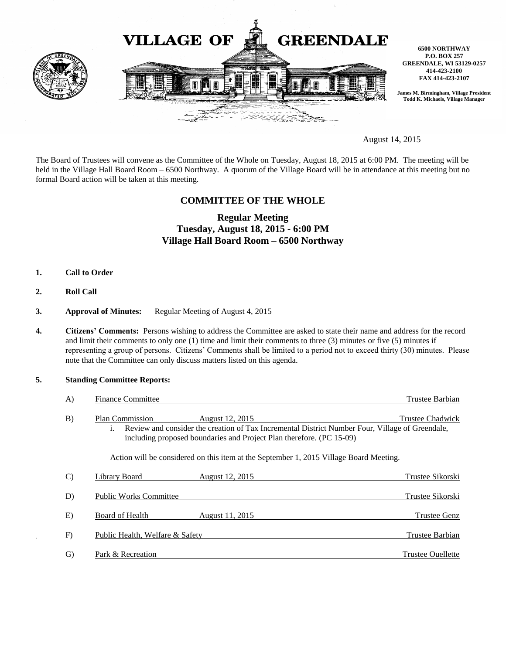

August 14, 2015

The Board of Trustees will convene as the Committee of the Whole on Tuesday, August 18, 2015 at 6:00 PM. The meeting will be held in the Village Hall Board Room – 6500 Northway. A quorum of the Village Board will be in attendance at this meeting but no formal Board action will be taken at this meeting.

## **COMMITTEE OF THE WHOLE**

# **Regular Meeting Tuesday, August 18, 2015 - 6:00 PM Village Hall Board Room – 6500 Northway**

- **1. Call to Order**
- **2. Roll Call**
- **3. Approval of Minutes:** Regular Meeting of August 4, 2015
- **4. Citizens' Comments:** Persons wishing to address the Committee are asked to state their name and address for the record and limit their comments to only one (1) time and limit their comments to three (3) minutes or five (5) minutes if representing a group of persons. Citizens' Comments shall be limited to a period not to exceed thirty (30) minutes. Please note that the Committee can only discuss matters listed on this agenda.

#### **5. Standing Committee Reports:**

| $\mathbf{A}$                                                                           | <b>Finance Committee</b>                                                                                                                                                                                                               | Trustee Barbian          |  |
|----------------------------------------------------------------------------------------|----------------------------------------------------------------------------------------------------------------------------------------------------------------------------------------------------------------------------------------|--------------------------|--|
| B)                                                                                     | <b>Plan Commission</b><br>August 12, 2015<br>Review and consider the creation of Tax Incremental District Number Four, Village of Greendale,<br>$\mathbf{1}$ .<br>including proposed boundaries and Project Plan therefore. (PC 15-09) | <b>Trustee Chadwick</b>  |  |
| Action will be considered on this item at the September 1, 2015 Village Board Meeting. |                                                                                                                                                                                                                                        |                          |  |
| $\mathcal{C}$                                                                          | Library Board<br>August 12, 2015                                                                                                                                                                                                       | Trustee Sikorski         |  |
| D)                                                                                     | <b>Public Works Committee</b>                                                                                                                                                                                                          | Trustee Sikorski         |  |
| E)                                                                                     | Board of Health<br>August 11, 2015                                                                                                                                                                                                     | Trustee Genz             |  |
| F)                                                                                     | Public Health, Welfare & Safety                                                                                                                                                                                                        | Trustee Barbian          |  |
| G)                                                                                     | Park & Recreation                                                                                                                                                                                                                      | <b>Trustee Ouellette</b> |  |